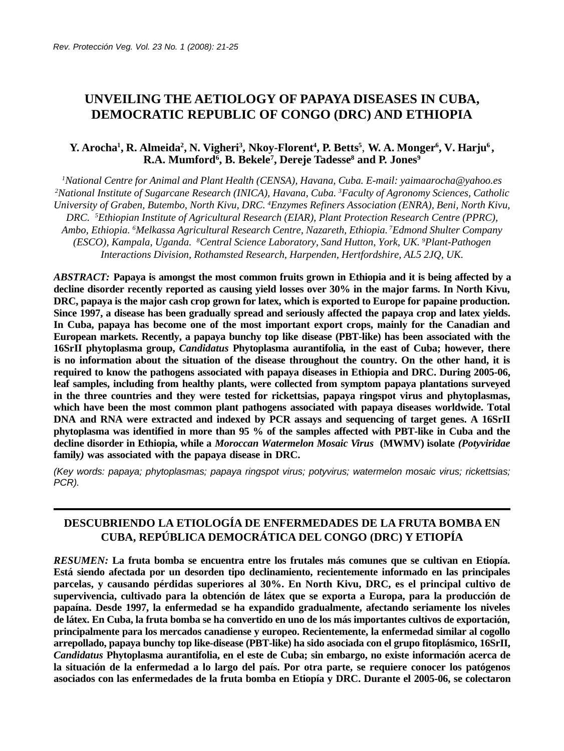# **UNVEILING THE AETIOLOGY OF PAPAYA DISEASES IN CUBA, DEMOCRATIC REPUBLIC OF CONGO (DRC) AND ETHIOPIA**

### **Y. Arocha<sup>1</sup> , R. Almeida<sup>2</sup> , N. Vigheri<sup>3</sup> , Nkoy-Florent<sup>4</sup> , P. Betts<sup>5</sup>** , **W. A. Monger<sup>6</sup> , V. Harju<sup>6</sup> , R.A. Mumford<sup>6</sup> , B. Bekele<sup>7</sup> , Dereje Tadesse<sup>8</sup> and P. Jones<sup>9</sup>**

*<sup>1</sup>National Centre for Animal and Plant Health (CENSA), Havana, Cuba. E-mail: yaimaarocha@yahoo.es <sup>2</sup>National Institute of Sugarcane Research (INICA), Havana, Cuba. 3Faculty of Agronomy Sciences, Catholic University of Graben, Butembo, North Kivu, DRC. 4Enzymes Refiners Association (ENRA), Beni, North Kivu, DRC. 5Ethiopian Institute of Agricultural Research (EIAR), Plant Protection Research Centre (PPRC), Ambo, Ethiopia. 6Melkassa Agricultural Research Centre, Nazareth, Ethiopia. 7Edmond Shulter Company (ESCO), Kampala, Uganda. 8Central Science Laboratory, Sand Hutton, York, UK. 9Plant-Pathogen Interactions Division, Rothamsted Research, Harpenden, Hertfordshire, AL5 2JQ, UK.*

*ABSTRACT:* **Papaya is amongst the most common fruits grown in Ethiopia and it is being affected by a decline disorder recently reported as causing yield losses over 30% in the major farms. In North Kivu, DRC, papaya is the major cash crop grown for latex, which is exported to Europe for papaine production. Since 1997, a disease has been gradually spread and seriously affected the papaya crop and latex yields. In Cuba, papaya has become one of the most important export crops, mainly for the Canadian and European markets. Recently, a papaya bunchy top like disease (PBT-like) has been associated with the 16SrII phytoplasma group,** *Candidatus* **Phytoplasma aurantifolia***,* **in the east of Cuba; however, there is no information about the situation of the disease throughout the country. On the other hand, it is required to know the pathogens associated with papaya diseases in Ethiopia and DRC. During 2005-06, leaf samples, including from healthy plants, were collected from symptom papaya plantations surveyed in the three countries and they were tested for rickettsias, papaya ringspot virus and phytoplasmas, which have been the most common plant pathogens associated with papaya diseases worldwide. Total DNA and RNA were extracted and indexed by PCR assays and sequencing of target genes. A 16SrII phytoplasma was identified in more than 95 % of the samples affected with PBT-like in Cuba and the decline disorder in Ethiopia, while a** *Moroccan Watermelon Mosaic Virus* **(MWMV) isolate** *(Potyviridae* **family***)* **was associated with the papaya disease in DRC.**

*(Key words: papaya; phytoplasmas; papaya ringspot virus; potyvirus; watermelon mosaic virus; rickettsias; PCR).*

## **DESCUBRIENDO LA ETIOLOGÍA DE ENFERMEDADES DE LA FRUTA BOMBA EN CUBA, REPÚBLICA DEMOCRÁTICA DEL CONGO (DRC) Y ETIOPÍA**

*RESUMEN:* **La fruta bomba se encuentra entre los frutales más comunes que se cultivan en Etiopía. Está siendo afectada por un desorden tipo declinamiento, recientemente informado en las principales parcelas, y causando pérdidas superiores al 30%. En North Kivu, DRC, es el principal cultivo de supervivencia, cultivado para la obtención de látex que se exporta a Europa, para la producción de papaína. Desde 1997, la enfermedad se ha expandido gradualmente, afectando seriamente los niveles de látex. En Cuba, la fruta bomba se ha convertido en uno de los más importantes cultivos de exportación, principalmente para los mercados canadiense y europeo. Recientemente, la enfermedad similar al cogollo arrepollado, papaya bunchy top like-disease (PBT-like) ha sido asociada con el grupo fitoplásmico, 16SrII,** *Candidatus* **Phytoplasma aurantifolia, en el este de Cuba; sin embargo, no existe información acerca de la situación de la enfermedad a lo largo del país. Por otra parte, se requiere conocer los patógenos asociados con las enfermedades de la fruta bomba en Etiopía y DRC. Durante el 2005-06, se colectaron**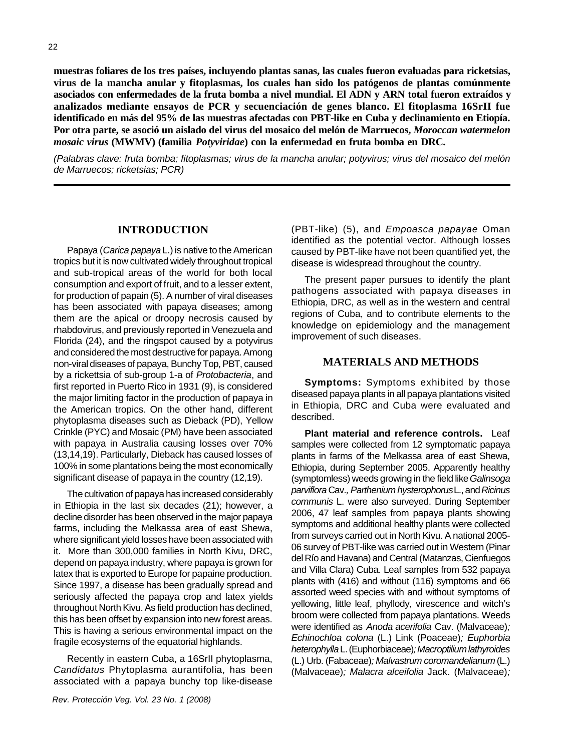22

**muestras foliares de los tres países, incluyendo plantas sanas, las cuales fueron evaluadas para ricketsias, virus de la mancha anular y fitoplasmas, los cuales han sido los patógenos de plantas comúnmente asociados con enfermedades de la fruta bomba a nivel mundial. El ADN y ARN total fueron extraídos y analizados mediante ensayos de PCR y secuenciación de genes blanco. El fitoplasma 16SrII fue identificado en más del 95% de las muestras afectadas con PBT-like en Cuba y declinamiento en Etiopía. Por otra parte, se asoció un aislado del virus del mosaico del melón de Marruecos,** *Moroccan watermelon mosaic virus* **(MWMV) (familia** *Potyviridae***) con la enfermedad en fruta bomba en DRC.**

*(Palabras clave: fruta bomba; fitoplasmas; virus de la mancha anular; potyvirus; virus del mosaico del melón de Marruecos; ricketsias; PCR)*

#### **INTRODUCTION**

Papaya (*Carica papaya* L.) is native to the American tropics but it is now cultivated widely throughout tropical and sub-tropical areas of the world for both local consumption and export of fruit, and to a lesser extent, for production of papain (5). A number of viral diseases has been associated with papaya diseases; among them are the apical or droopy necrosis caused by rhabdovirus, and previously reported in Venezuela and Florida (24), and the ringspot caused by a potyvirus and considered the most destructive for papaya. Among non-viral diseases of papaya, Bunchy Top, PBT, caused by a rickettsia of sub-group 1-a of *Protobacteria*, and first reported in Puerto Rico in 1931 (9), is considered the major limiting factor in the production of papaya in the American tropics. On the other hand, different phytoplasma diseases such as Dieback (PD), Yellow Crinkle (PYC) and Mosaic (PM) have been associated with papaya in Australia causing losses over 70% (13,14,19). Particularly, Dieback has caused losses of 100% in some plantations being the most economically significant disease of papaya in the country (12,19).

The cultivation of papaya has increased considerably in Ethiopia in the last six decades (21); however, a decline disorder has been observed in the major papaya farms, including the Melkassa area of east Shewa, where significant yield losses have been associated with it. More than 300,000 families in North Kivu, DRC, depend on papaya industry, where papaya is grown for latex that is exported to Europe for papaine production. Since 1997, a disease has been gradually spread and seriously affected the papaya crop and latex yields throughout North Kivu. As field production has declined, this has been offset by expansion into new forest areas. This is having a serious environmental impact on the fragile ecosystems of the equatorial highlands.

Recently in eastern Cuba, a 16SrII phytoplasma, *Candidatus* Phytoplasma aurantifolia, has been associated with a papaya bunchy top like-disease (PBT-like) (5), and *Empoasca papayae* Oman identified as the potential vector. Although losses caused by PBT-like have not been quantified yet, the disease is widespread throughout the country.

The present paper pursues to identify the plant pathogens associated with papaya diseases in Ethiopia, DRC, as well as in the western and central regions of Cuba, and to contribute elements to the knowledge on epidemiology and the management improvement of such diseases.

#### **MATERIALS AND METHODS**

**Symptoms:** Symptoms exhibited by those diseased papaya plants in all papaya plantations visited in Ethiopia, DRC and Cuba were evaluated and described.

**Plant material and reference controls.** Leaf samples were collected from 12 symptomatic papaya plants in farms of the Melkassa area of east Shewa, Ethiopia, during September 2005. Apparently healthy (symptomless) weeds growing in the field like *Galinsoga parviflora* Cav.*, Parthenium hysterophorus* L., and *Ricinus communis* L. were also surveyed. During September 2006, 47 leaf samples from papaya plants showing symptoms and additional healthy plants were collected from surveys carried out in North Kivu. A national 2005- 06 survey of PBT-like was carried out in Western (Pinar del Río and Havana) and Central (Matanzas, Cienfuegos and Villa Clara) Cuba. Leaf samples from 532 papaya plants with (416) and without (116) symptoms and 66 assorted weed species with and without symptoms of yellowing, little leaf, phyllody, virescence and witch's broom were collected from papaya plantations. Weeds were identified as *Anoda acerifolia* Cav. (Malvaceae)*; Echinochloa colona* (L.) Link (Poaceae)*; Euphorbia heterophylla* L. (Euphorbiaceae)*; Macroptilium lathyroides* (L.) Urb. (Fabaceae)*; Malvastrum coromandelianum* (L.) (Malvaceae)*; Malacra alceifolia* Jack. (Malvaceae)*;*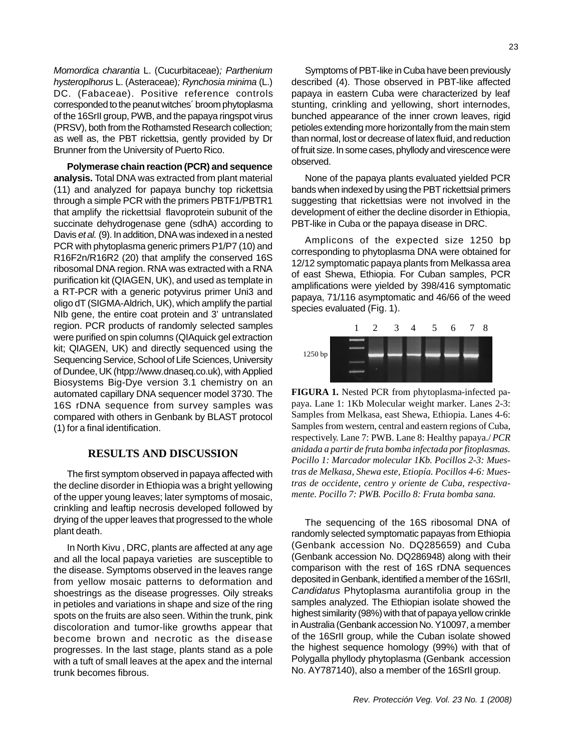*Momordica charantia* L. (Cucurbitaceae)*; Parthenium hysteroplhorus* L. (Asteraceae)*; Rynchosia minima* (L.) DC. (Fabaceae). Positive reference controls corresponded to the peanut witches´ broom phytoplasma of the 16SrII group, PWB, and the papaya ringspot virus (PRSV), both from the Rothamsted Research collection; as well as, the PBT rickettsia, gently provided by Dr Brunner from the University of Puerto Rico.

**Polymerase chain reaction (PCR) and sequence analysis.** Total DNA was extracted from plant material (11) and analyzed for papaya bunchy top rickettsia through a simple PCR with the primers PBTF1/PBTR1 that amplify the rickettsial flavoprotein subunit of the succinate dehydrogenase gene (sdhA) according to Davis *et al.* (9). In addition, DNA was indexed in a nested PCR with phytoplasma generic primers P1/P7 (10) and R16F2n/R16R2 (20) that amplify the conserved 16S ribosomal DNA region. RNA was extracted with a RNA purification kit (QIAGEN, UK), and used as template in a RT-PCR with a generic potyvirus primer Uni3 and oligo dT (SIGMA-Aldrich, UK), which amplify the partial NIb gene, the entire coat protein and 3' untranslated region. PCR products of randomly selected samples were purified on spin columns (QIAquick gel extraction kit; QIAGEN, UK) and directly sequenced using the Sequencing Service, School of Life Sciences, University of Dundee, UK (htpp://www.dnaseq.co.uk), with Applied Biosystems Big-Dye version 3.1 chemistry on an automated capillary DNA sequencer model 3730. The 16S rDNA sequence from survey samples was compared with others in Genbank by BLAST protocol (1) for a final identification.

#### **RESULTS AND DISCUSSION**

The first symptom observed in papaya affected with the decline disorder in Ethiopia was a bright yellowing of the upper young leaves; later symptoms of mosaic, crinkling and leaftip necrosis developed followed by drying of the upper leaves that progressed to the whole plant death.

In North Kivu , DRC, plants are affected at any age and all the local papaya varieties are susceptible to the disease. Symptoms observed in the leaves range from yellow mosaic patterns to deformation and shoestrings as the disease progresses. Oily streaks in petioles and variations in shape and size of the ring spots on the fruits are also seen. Within the trunk, pink discoloration and tumor-like growths appear that become brown and necrotic as the disease progresses. In the last stage, plants stand as a pole with a tuft of small leaves at the apex and the internal trunk becomes fibrous.

Symptoms of PBT-like in Cuba have been previously described (4). Those observed in PBT-like affected papaya in eastern Cuba were characterized by leaf stunting, crinkling and yellowing, short internodes, bunched appearance of the inner crown leaves, rigid petioles extending more horizontally from the main stem than normal, lost or decrease of latex fluid, and reduction of fruit size. In some cases, phyllody and virescence were observed.

None of the papaya plants evaluated yielded PCR bands when indexed by using the PBT rickettsial primers suggesting that rickettsias were not involved in the development of either the decline disorder in Ethiopia, PBT-like in Cuba or the papaya disease in DRC.

Amplicons of the expected size 1250 bp corresponding to phytoplasma DNA were obtained for 12/12 symptomatic papaya plants from Melkassa area of east Shewa, Ethiopia. For Cuban samples, PCR amplifications were yielded by 398/416 symptomatic papaya, 71/116 asymptomatic and 46/66 of the weed species evaluated (Fig. 1).



**FIGURA 1.** Nested PCR from phytoplasma-infected papaya. Lane 1: 1Kb Molecular weight marker. Lanes 2-3: Samples from Melkasa, east Shewa, Ethiopia. Lanes 4-6: Samples from western, central and eastern regions of Cuba, respectively. Lane 7: PWB. Lane 8: Healthy papaya./ *PCR anidada a partir de fruta bomba infectada por fitoplasmas. Pocillo 1: Marcador molecular 1Kb. Pocillos 2-3: Muestras de Melkasa, Shewa este, Etiopía. Pocillos 4-6: Muestras de occidente, centro y oriente de Cuba, respectivamente. Pocillo 7: PWB. Pocillo 8: Fruta bomba sana.*

The sequencing of the 16S ribosomal DNA of randomly selected symptomatic papayas from Ethiopia (Genbank accession No. DQ285659) and Cuba (Genbank accession No. DQ286948) along with their comparison with the rest of 16S rDNA sequences deposited in Genbank, identified a member of the 16SrII, *Candidatus* Phytoplasma aurantifolia group in the samples analyzed. The Ethiopian isolate showed the highest similarity (98%) with that of papaya yellow crinkle in Australia (Genbank accession No. Y10097, a member of the 16SrII group, while the Cuban isolate showed the highest sequence homology (99%) with that of Polygalla phyllody phytoplasma (Genbank accession No. AY787140), also a member of the 16SrII group.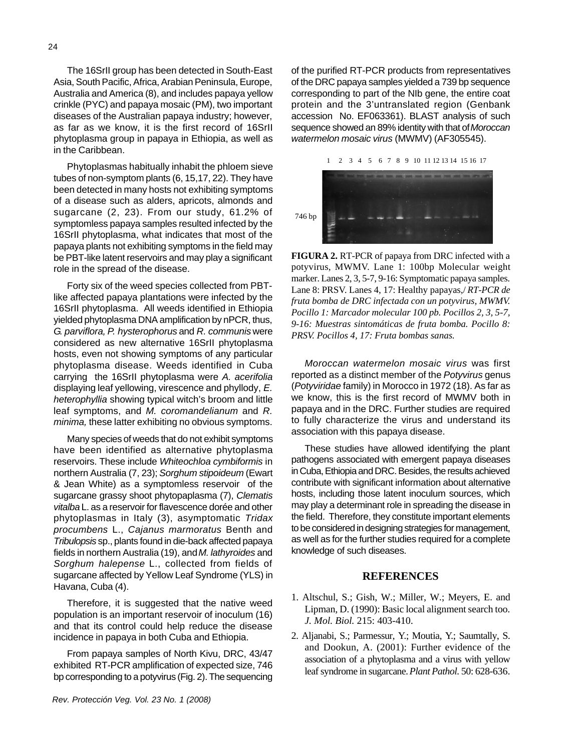The 16SrII group has been detected in South-East Asia, South Pacific, Africa, Arabian Peninsula, Europe, Australia and America (8), and includes papaya yellow crinkle (PYC) and papaya mosaic (PM), two important diseases of the Australian papaya industry; however, as far as we know, it is the first record of 16SrII phytoplasma group in papaya in Ethiopia, as well as in the Caribbean.

Phytoplasmas habitually inhabit the phloem sieve tubes of non-symptom plants (6, 15,17, 22). They have been detected in many hosts not exhibiting symptoms of a disease such as alders, apricots, almonds and sugarcane (2, 23). From our study, 61.2% of symptomless papaya samples resulted infected by the 16SrII phytoplasma, what indicates that most of the papaya plants not exhibiting symptoms in the field may be PBT-like latent reservoirs and may play a significant role in the spread of the disease.

Forty six of the weed species collected from PBTlike affected papaya plantations were infected by the 16SrII phytoplasma. All weeds identified in Ethiopia yielded phytoplasma DNA amplification by nPCR, thus, *G. parviflora, P. hysterophorus* and *R. communis* were considered as new alternative 16SrII phytoplasma hosts, even not showing symptoms of any particular phytoplasma disease. Weeds identified in Cuba carrying the 16SrII phytoplasma were *A. acerifolia* displaying leaf yellowing, virescence and phyllody, *E. heterophyllia* showing typical witch's broom and little leaf symptoms, and *M. coromandelianum* and *R. minima,* these latter exhibiting no obvious symptoms.

Many species of weeds that do not exhibit symptoms have been identified as alternative phytoplasma reservoirs. These include *Whiteochloa cymbiformis* in northern Australia (7, 23); *Sorghum stipoideum* (Ewart & Jean White) as a symptomless reservoir of the sugarcane grassy shoot phytopaplasma (7), *Clematis vitalba* L. as a reservoir for flavescence dorée and other phytoplasmas in Italy (3), asymptomatic *Tridax procumbens* L., *Cajanus marmoratus* Benth and *Tribulopsis* sp., plants found in die-back affected papaya fields in northern Australia (19), and *M. lathyroides* and *Sorghum halepense* L., collected from fields of sugarcane affected by Yellow Leaf Syndrome (YLS) in Havana, Cuba (4).

Therefore, it is suggested that the native weed population is an important reservoir of inoculum (16) and that its control could help reduce the disease incidence in papaya in both Cuba and Ethiopia.

From papaya samples of North Kivu, DRC, 43/47 exhibited RT-PCR amplification of expected size, 746 bp corresponding to a potyvirus (Fig. 2). The sequencing of the purified RT-PCR products from representatives of the DRC papaya samples yielded a 739 bp sequence corresponding to part of the NIb gene, the entire coat protein and the 3'untranslated region (Genbank accession No. EF063361). BLAST analysis of such sequence showed an 89% identity with that of *Moroccan watermelon mosaic virus* (MWMV) (AF305545).

1 2 3 4 5 6 7 8 9 10 11 12 13 14 15 16 17



**FIGURA 2.** RT-PCR of papaya from DRC infected with a potyvirus, MWMV. Lane 1: 100bp Molecular weight marker. Lanes 2, 3, 5-7, 9-16: Symptomatic papaya samples. Lane 8: PRSV. Lanes 4, 17: Healthy papayas,/ *RT-PCR de fruta bomba de DRC infectada con un potyvirus, MWMV. Pocillo 1: Marcador molecular 100 pb. Pocillos 2, 3, 5-7, 9-16: Muestras sintomáticas de fruta bomba. Pocillo 8: PRSV. Pocillos 4, 17: Fruta bombas sanas.*

*Moroccan watermelon mosaic virus* was first reported as a distinct member of the *Potyvirus* genus (*Potyviridae* family) in Morocco in 1972 (18). As far as we know, this is the first record of MWMV both in papaya and in the DRC. Further studies are required to fully characterize the virus and understand its association with this papaya disease.

These studies have allowed identifying the plant pathogens associated with emergent papaya diseases in Cuba, Ethiopia and DRC. Besides, the results achieved contribute with significant information about alternative hosts, including those latent inoculum sources, which may play a determinant role in spreading the disease in the field. Therefore, they constitute important elements to be considered in designing strategies for management, as well as for the further studies required for a complete knowledge of such diseases.

#### **REFERENCES**

- 1. Altschul, S.; Gish, W.; Miller, W.; Meyers, E. and Lipman, D. (1990): Basic local alignment search too. *J. Mol. Biol.* 215: 403-410.
- 2. Aljanabi, S.; Parmessur, Y.; Moutia, Y.; Saumtally, S. and Dookun, A. (2001): Further evidence of the association of a phytoplasma and a virus with yellow leaf syndrome in sugarcane. *Plant Pathol.* 50: 628-636.